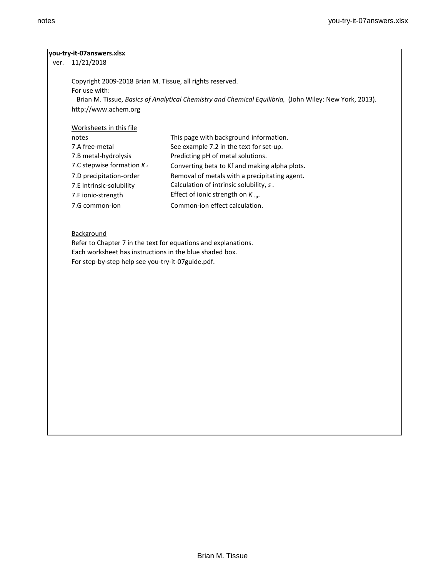## **you-try-it-07answers.xlsx**

ver. 11/21/2018

Copyright 2009-2018 Brian M. Tissue, all rights reserved. For use with: Brian M. Tissue, *Basics of Analytical Chemistry and Chemical Equilibria,* (John Wiley: New York, 2013). http://www.achem.org

Worksheets in this file

| notes                        | This page with background information.        |
|------------------------------|-----------------------------------------------|
| 7.A free-metal               | See example 7.2 in the text for set-up.       |
| 7.B metal-hydrolysis         | Predicting pH of metal solutions.             |
| 7.C stepwise formation $K_f$ | Converting beta to Kf and making alpha plots. |
| 7.D precipitation-order      | Removal of metals with a precipitating agent. |
| 7.E intrinsic-solubility     | Calculation of intrinsic solubility, s.       |
| 7.F ionic-strength           | Effect of ionic strength on $K_{sp}$ .        |
| 7.G common-ion               | Common-ion effect calculation.                |

# **Background**

Refer to Chapter 7 in the text for equations and explanations. Each worksheet has instructions in the blue shaded box. For step-by-step help see you-try-it-07guide.pdf.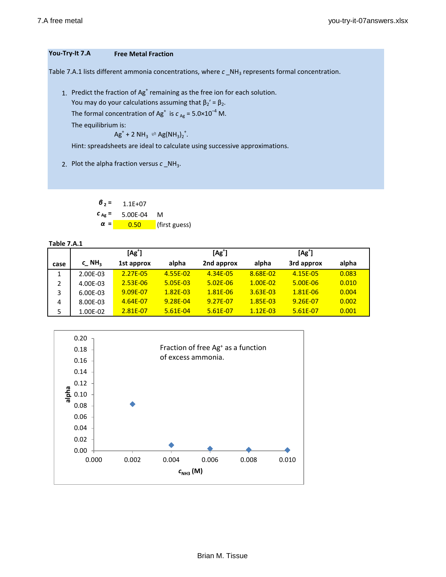# **You-Try-It 7.A Free Metal Fraction**

Table 7.A.1 lists different ammonia concentrations, where  $c$  \_NH<sub>3</sub> represents formal concentration.

1. Predict the fraction of Ag<sup>+</sup> remaining as the free ion for each solution.

You may do your calculations assuming that  $\beta_2' = \beta_2$ .

The formal concentration of Ag<sup>+</sup> is  $c_{Ag}$  = 5.0×10<sup>-4</sup> M.

The equilibrium is:

$$
Ag^+ + 2 NH_3 \rightleftharpoons Ag(NH_3)_2^+.
$$

Hint: spreadsheets are ideal to calculate using successive approximations.

2. Plot the alpha fraction versus  $c$  \_NH<sub>3</sub>.

 $\beta_2 = 1.1E+07$ *c* **Ag =** 5.00E-04 M *α* **=** 0.50 (first guess)

**Table 7.A.1**

|      | $[Ag^{\dagger}]$    |              |              | $[Ag^+]$     |              | $[Ag+]$    |       |
|------|---------------------|--------------|--------------|--------------|--------------|------------|-------|
| case | $c$ NH <sub>3</sub> | 1st approx   | alpha        | 2nd approx   | alpha        | 3rd approx | alpha |
|      | 2.00E-03            | 2.27E-05     | 4.55E-02     | 4.34E-05     | 8.68E-02     | 4.15E-05   | 0.083 |
| 2    | 4.00E-03            | $2.53E - 06$ | 5.05E-03     | $5.02E - 06$ | $1.00E - 02$ | 5.00E-06   | 0.010 |
| 3    | 6.00E-03            | 9.09E-07     | $1.82E - 03$ | 1.81E-06     | $3.63E - 03$ | 1.81E-06   | 0.004 |
| 4    | 8.00E-03            | 4.64E-07     | 9.28E-04     | 9.27E-07     | $1.85E - 03$ | 9.26E-07   | 0.002 |
| 5    | 1.00E-02            | 2.81E-07     | $5.61E - 04$ | 5.61E-07     | $1.12E - 03$ | 5.61E-07   | 0.001 |

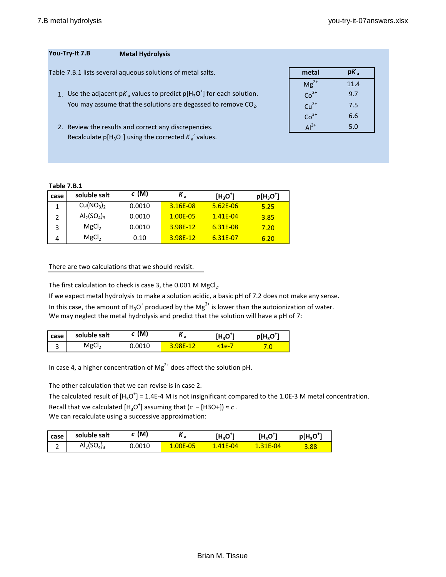# **You-Try-It 7.B Metal Hydrolysis**

Table 7.B.1 lists several aqueous solutions of metal salts.

- 1. Use the adjacent p $K_a$  values to predict p[H<sub>3</sub>O<sup>+</sup>] for each solution.  $Co^{2+}$  0.7 You may assume that the solutions are degassed to remove  $CO<sub>2</sub>$ .
- 2. Review the results and correct any discrepencies. Recalculate  $p[H_3O^+]$  using the corrected  $K_a'$  values.

| metal     | pK,  |
|-----------|------|
| $Mg^{2+}$ | 11.4 |
| $Co2+$    | 9.7  |
| $Cu2+$    | 7.5  |
| $Co3+$    | 6.6  |
| $Al3+$    | 5.0  |
|           |      |

## **Table 7.B.1**

| case | soluble salt                      | $c(\mathsf{M})$ | $K_{\rm a}$ | $[H_3O^+]$   | $p[H_3O^+]$ |
|------|-----------------------------------|-----------------|-------------|--------------|-------------|
|      | Cu(NO <sub>3</sub> ) <sub>2</sub> | 0.0010          | 3.16E-08    | $5.62E - 06$ | 5.25        |
|      | $Al_{2}(SO_{4})_{3}$              | 0.0010          | 1.00E-05    | $1.41F - 04$ | 3.85        |
|      | MgCl <sub>2</sub>                 | 0.0010          | 3.98F-12    | 6.31E-08     | 7.20        |
|      | MgCl <sub>2</sub>                 | 0.10            | 3.98F-12    | 6.31E-07     | 6.20        |

### There are two calculations that we should revisit.

The first calculation to check is case 3, the 0.001 M  $MgCl<sub>2</sub>$ .

If we expect metal hydrolysis to make a solution acidic, a basic pH of 7.2 does not make any sense. In this case, the amount of  $H_3O^+$  produced by the Mg<sup>2+</sup> is lower than the autoionization of water. We may neglect the metal hydrolysis and predict that the solution will have a pH of 7:

| <b>case</b> | soluble salt      | MI     | ^ a          | $\cdot$ 0.h, | $p[H3O+]$ |
|-------------|-------------------|--------|--------------|--------------|-----------|
| ں           | MgCl <sub>7</sub> | 0.0010 | <b>QRF-1</b> | <u>a-</u>    |           |

In case 4, a higher concentration of  ${Mg}^{2+}$  does affect the solution pH.

The other calculation that we can revise is in case 2.

The calculated result of  $[H_3O^+]$  = 1.4E-4 M is not insignificant compared to the 1.0E-3 M metal concentration. Recall that we calculated  $[H_3O^+]$  assuming that  $(c - [H3O+]) \approx c$ .

We can recalculate using a successive approximation:

| case   | soluble salt   | M      | . .             | $(H3O+)$ | [H <sub>3</sub> O <sup>**</sup> | $D(H, O^+)$ |
|--------|----------------|--------|-----------------|----------|---------------------------------|-------------|
| -<br>- | $Al_2(SO_4)_3$ | 0.0010 | <b>1.00E-05</b> | .41E-04  | 1E-04                           | 3.88        |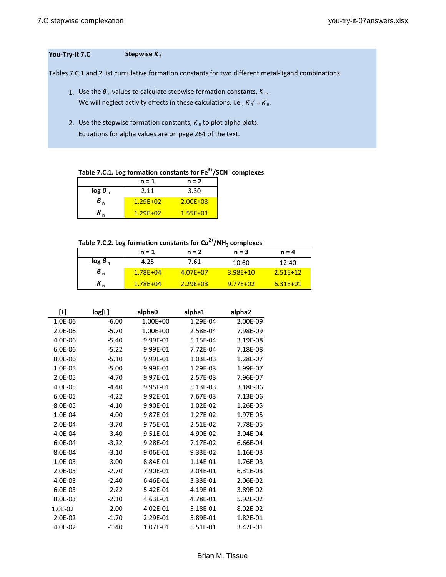### **You-Try-It 7.C Stepwise** *K* **<sup>f</sup>**

Tables 7.C.1 and 2 list cumulative formation constants for two different metal-ligand combinations.

- 1. Use the *β*<sub>n</sub> values to calculate stepwise formation constants, *K*<sub>n</sub>. We will neglect activity effects in these calculations, i.e.,  $K_n' = K_n$ .
- 2. Use the stepwise formation constants,  $K_n$  to plot alpha plots. Equations for alpha values are on page 264 of the text.

**Table 7.C.1. Log formation constants for Fe3+/SCN<sup>−</sup> complexes**

|            | $n = 1$      | $n = 2$      |
|------------|--------------|--------------|
| $\log 6_n$ | 2.11         | 3.30         |
| в.         | $1.29F + 02$ | $2.00E + 03$ |
|            | $1.29F + 02$ | $1.55E + 01$ |

**Table 7.C.2. Log formation constants for Cu2+/NH3 complexes**

|                    | $n = 1$      | $n = 2$      | $n = 3$      | $n = 4$      |
|--------------------|--------------|--------------|--------------|--------------|
| log 6 <sub>n</sub> | 4.25         | 7.61         | 10.60        | 12.40        |
| $\sigma_{n}$       | $1.78E + 04$ | $4.07E + 07$ | $3.98E + 10$ | $2.51F+12$   |
| л.                 | $1.78E + 04$ | $2.29E + 03$ | $9.77F + 02$ | $6.31E + 01$ |

| $[1]$   | log[L]  | alpha0   | alpha1   | alpha2   |
|---------|---------|----------|----------|----------|
| 1.0E-06 | $-6.00$ | 1.00E+00 | 1.29E-04 | 2.00E-09 |
| 2.0E-06 | $-5.70$ | 1.00E+00 | 2.58E-04 | 7.98E-09 |
| 4.0E-06 | $-5.40$ | 9.99E-01 | 5.15E-04 | 3.19E-08 |
| 6.0E-06 | $-5.22$ | 9.99E-01 | 7.72E-04 | 7.18E-08 |
| 8.0E-06 | $-5.10$ | 9.99E-01 | 1.03E-03 | 1.28E-07 |
| 1.0E-05 | $-5.00$ | 9.99E-01 | 1.29E-03 | 1.99E-07 |
| 2.0E-05 | $-4.70$ | 9.97E-01 | 2.57E-03 | 7.96E-07 |
| 4.0E-05 | $-4.40$ | 9.95E-01 | 5.13E-03 | 3.18E-06 |
| 6.0E-05 | $-4.22$ | 9.92E-01 | 7.67E-03 | 7.13E-06 |
| 8.0E-05 | $-4.10$ | 9.90E-01 | 1.02E-02 | 1.26E-05 |
| 1.0E-04 | $-4.00$ | 9.87E-01 | 1.27E-02 | 1.97E-05 |
| 2.0E-04 | $-3.70$ | 9.75E-01 | 2.51E-02 | 7.78E-05 |
| 4.0E-04 | $-3.40$ | 9.51E-01 | 4.90E-02 | 3.04E-04 |
| 6.0E-04 | $-3.22$ | 9.28E-01 | 7.17E-02 | 6.66E-04 |
| 8.0E-04 | $-3.10$ | 9.06E-01 | 9.33E-02 | 1.16E-03 |
| 1.0E-03 | $-3.00$ | 8.84E-01 | 1.14E-01 | 1.76E-03 |
| 2.0E-03 | $-2.70$ | 7.90E-01 | 2.04E-01 | 6.31E-03 |
| 4.0E-03 | $-2.40$ | 6.46E-01 | 3.33E-01 | 2.06E-02 |
| 6.0E-03 | $-2.22$ | 5.42E-01 | 4.19E-01 | 3.89E-02 |
| 8.0E-03 | $-2.10$ | 4.63E-01 | 4.78E-01 | 5.92E-02 |
| 1.0E-02 | $-2.00$ | 4.02E-01 | 5.18E-01 | 8.02E-02 |
| 2.0E-02 | $-1.70$ | 2.29E-01 | 5.89E-01 | 1.82E-01 |
| 4.0E-02 | $-1.40$ | 1.07E-01 | 5.51E-01 | 3.42E-01 |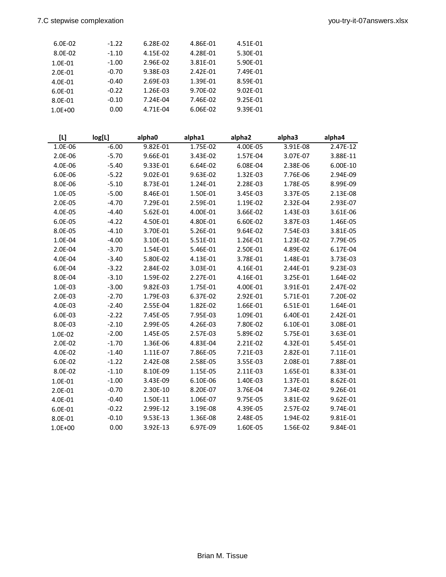| 6.0E-02     | $-1.22$ | 6.28E-02 | 4.86E-01 | 4.51E-01 |
|-------------|---------|----------|----------|----------|
| 8.0E-02     | $-1.10$ | 4.15E-02 | 4.28E-01 | 5.30E-01 |
| 1.0E-01     | $-1.00$ | 2.96E-02 | 3.81E-01 | 5.90E-01 |
| 2.0E-01     | $-0.70$ | 9.38E-03 | 2.42E-01 | 7.49E-01 |
| 4.0E-01     | $-0.40$ | 2.69E-03 | 1.39E-01 | 8.59E-01 |
| 6.0E-01     | $-0.22$ | 1.26E-03 | 9.70E-02 | 9.02E-01 |
| 8.0E-01     | $-0.10$ | 7.24E-04 | 7.46E-02 | 9.25E-01 |
| $1.0E + 00$ | 0.00    | 4.71E-04 | 6.06E-02 | 9.39E-01 |
|             |         |          |          |          |

| $[1]$       | log[L]  | alpha0   | alpha1   | alpha2   | alpha3   | alpha4     |
|-------------|---------|----------|----------|----------|----------|------------|
| 1.0E-06     | $-6.00$ | 9.82E-01 | 1.75E-02 | 4.00E-05 | 3.91E-08 | $2.47E-12$ |
| 2.0E-06     | $-5.70$ | 9.66E-01 | 3.43E-02 | 1.57E-04 | 3.07E-07 | 3.88E-11   |
| 4.0E-06     | $-5.40$ | 9.33E-01 | 6.64E-02 | 6.08E-04 | 2.38E-06 | 6.00E-10   |
| 6.0E-06     | $-5.22$ | 9.02E-01 | 9.63E-02 | 1.32E-03 | 7.76E-06 | 2.94E-09   |
| 8.0E-06     | $-5.10$ | 8.73E-01 | 1.24E-01 | 2.28E-03 | 1.78E-05 | 8.99E-09   |
| 1.0E-05     | $-5.00$ | 8.46E-01 | 1.50E-01 | 3.45E-03 | 3.37E-05 | 2.13E-08   |
| 2.0E-05     | $-4.70$ | 7.29E-01 | 2.59E-01 | 1.19E-02 | 2.32E-04 | 2.93E-07   |
| 4.0E-05     | $-4.40$ | 5.62E-01 | 4.00E-01 | 3.66E-02 | 1.43E-03 | 3.61E-06   |
| 6.0E-05     | $-4.22$ | 4.50E-01 | 4.80E-01 | 6.60E-02 | 3.87E-03 | 1.46E-05   |
| 8.0E-05     | $-4.10$ | 3.70E-01 | 5.26E-01 | 9.64E-02 | 7.54E-03 | 3.81E-05   |
| 1.0E-04     | $-4.00$ | 3.10E-01 | 5.51E-01 | 1.26E-01 | 1.23E-02 | 7.79E-05   |
| 2.0E-04     | $-3.70$ | 1.54E-01 | 5.46E-01 | 2.50E-01 | 4.89E-02 | 6.17E-04   |
| 4.0E-04     | $-3.40$ | 5.80E-02 | 4.13E-01 | 3.78E-01 | 1.48E-01 | 3.73E-03   |
| 6.0E-04     | $-3.22$ | 2.84E-02 | 3.03E-01 | 4.16E-01 | 2.44E-01 | 9.23E-03   |
| 8.0E-04     | $-3.10$ | 1.59E-02 | 2.27E-01 | 4.16E-01 | 3.25E-01 | 1.64E-02   |
| 1.0E-03     | $-3.00$ | 9.82E-03 | 1.75E-01 | 4.00E-01 | 3.91E-01 | 2.47E-02   |
| 2.0E-03     | $-2.70$ | 1.79E-03 | 6.37E-02 | 2.92E-01 | 5.71E-01 | 7.20E-02   |
| 4.0E-03     | $-2.40$ | 2.55E-04 | 1.82E-02 | 1.66E-01 | 6.51E-01 | 1.64E-01   |
| 6.0E-03     | $-2.22$ | 7.45E-05 | 7.95E-03 | 1.09E-01 | 6.40E-01 | 2.42E-01   |
| 8.0E-03     | $-2.10$ | 2.99E-05 | 4.26E-03 | 7.80E-02 | 6.10E-01 | 3.08E-01   |
| 1.0E-02     | $-2.00$ | 1.45E-05 | 2.57E-03 | 5.89E-02 | 5.75E-01 | 3.63E-01   |
| 2.0E-02     | $-1.70$ | 1.36E-06 | 4.83E-04 | 2.21E-02 | 4.32E-01 | 5.45E-01   |
| 4.0E-02     | $-1.40$ | 1.11E-07 | 7.86E-05 | 7.21E-03 | 2.82E-01 | 7.11E-01   |
| 6.0E-02     | $-1.22$ | 2.42E-08 | 2.58E-05 | 3.55E-03 | 2.08E-01 | 7.88E-01   |
| 8.0E-02     | $-1.10$ | 8.10E-09 | 1.15E-05 | 2.11E-03 | 1.65E-01 | 8.33E-01   |
| 1.0E-01     | $-1.00$ | 3.43E-09 | 6.10E-06 | 1.40E-03 | 1.37E-01 | 8.62E-01   |
| 2.0E-01     | $-0.70$ | 2.30E-10 | 8.20E-07 | 3.76E-04 | 7.34E-02 | 9.26E-01   |
| 4.0E-01     | $-0.40$ | 1.50E-11 | 1.06E-07 | 9.75E-05 | 3.81E-02 | 9.62E-01   |
| 6.0E-01     | $-0.22$ | 2.99E-12 | 3.19E-08 | 4.39E-05 | 2.57E-02 | 9.74E-01   |
| 8.0E-01     | $-0.10$ | 9.53E-13 | 1.36E-08 | 2.48E-05 | 1.94E-02 | 9.81E-01   |
| $1.0E + 00$ | 0.00    | 3.92E-13 | 6.97E-09 | 1.60E-05 | 1.56E-02 | 9.84E-01   |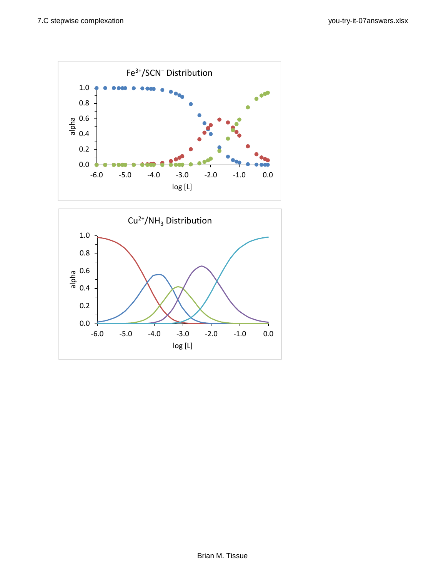

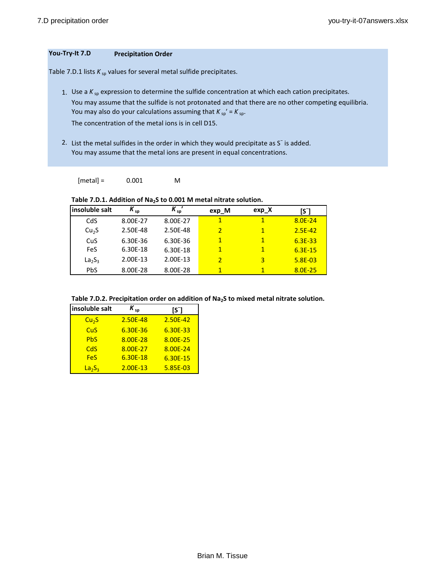# **You-Try-It 7.D Precipitation Order**

Table 7.D.1 lists  $K_{sp}$  values for several metal sulfide precipitates.

1. Use a  $K_{sp}$  expression to determine the sulfide concentration at which each cation precipitates. You may assume that the sulfide is not protonated and that there are no other competing equilibria. You may also do your calculations assuming that  $K_{sp}$ ' =  $K_{sp}$ . The concentration of the metal ions is in cell D15.

2. List the metal sulfides in the order in which they would precipitate as S<sup>−</sup> is added.

You may assume that the metal ions are present in equal concentrations.

 $[metal] = 0.001$  M

Table 7.D.1. Addition of Na<sub>2</sub>S to 0.001 M metal nitrate solution.

| insoluble salt    | $K_{sp}$ | $K_{sp}$ | exp M                    | exp X | $\mathsf{S}$ |
|-------------------|----------|----------|--------------------------|-------|--------------|
| CdS               | 8.00E-27 | 8.00E-27 | 1                        | 1     | $8.0E - 24$  |
| Cu <sub>2</sub> S | 2.50E-48 | 2.50E-48 | $\overline{2}$           | 1     | $2.5E-42$    |
| CuS               | 6.30E-36 | 6.30E-36 | 1                        | 1     | $6.3E - 33$  |
| FeS               | 6.30E-18 | 6.30E-18 | $\mathbf{1}$             | 1     | $6.3E-15$    |
| $La_2S_3$         | 2.00E-13 | 2.00E-13 | $\overline{\phantom{a}}$ | 3     | $5.8E - 03$  |
| <b>PbS</b>        | 8.00E-28 | 8.00E-28 | 1                        | 1     | 8.0E-25      |

| insoluble salt        | $K_{sp}$   | [S]        |
|-----------------------|------------|------------|
| Cu <sub>2</sub> S     | 2.50E-48   | 2.50E-42   |
| CuS                   | 6.30E-36   | 6.30E-33   |
| <b>Ph<sub>S</sub></b> | 8.00E-28   | 8.00E-25   |
| CdS                   | 8.00E-27   | 8.00E-24   |
| FeS                   | $6.30E-18$ | $6.30E-15$ |
| $La_2S_3$             | $2.00E-13$ | 5.85E-03   |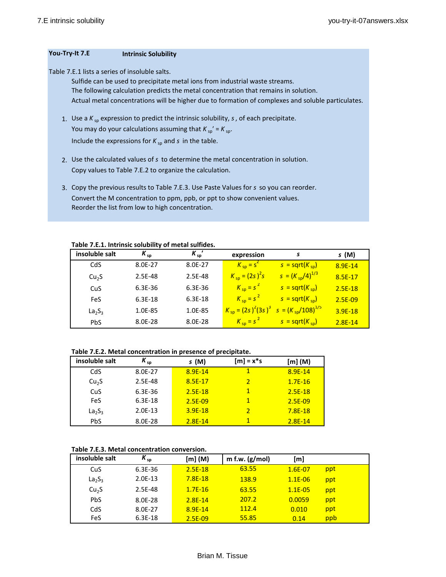#### **You-Try-It 7.E Intrinsic Solubility**

Table 7.E.1 lists a series of insoluble salts.

Sulfide can be used to precipitate metal ions from industrial waste streams. The following calculation predicts the metal concentration that remains in solution. Actual metal concentrations will be higher due to formation of complexes and soluble particulates.

- 1. Use a  $K_{sp}$  expression to predict the intrinsic solubility,  $s$ , of each precipitate. You may do your calculations assuming that  $K_{sp'} = K_{sp}$ . Include the expressions for  $K_{sp}$  and  $s$  in the table.
- 2. Use the calculated values of *s* to determine the metal concentration in solution. Copy values to Table 7.E.2 to organize the calculation.
- 3. Copy the previous results to Table 7.E.3. Use Paste Values for *s* so you can reorder. Convert the M concentration to ppm, ppb, or ppt to show convenient values. Reorder the list from low to high concentration.

**Table 7.E.1. Intrinsic solubility of metal sulfides.**

| insoluble salt                 | $K_{sp}$    | $K_{\rm SD}$ | expression               | s                                                               | s (M)       |
|--------------------------------|-------------|--------------|--------------------------|-----------------------------------------------------------------|-------------|
| CdS                            | 8.0E-27     | 8.0E-27      | $K_{\text{sp}} = S^2$    | $s = \sqrt{sqrt(K_{sp})}$                                       | $8.9E-14$   |
| Cu <sub>2</sub> S              | 2.5E-48     | 2.5E-48      | $K_{\rm{sp}} = (2s)^2 s$ | $S = (K_{sp}/4)^{1/3}$                                          | $8.5E-17$   |
| CuS                            | $6.3E - 36$ | 6.3E-36      | $K_{\rm sp} = s^2$       | $s = sqrt(K_{so})$                                              | $2.5E-18$   |
| FeS                            | 6.3E-18     | 6.3E-18      | $K_{sp} = s^2$           | $s = sqrt(K_{so})$                                              | $2.5E-09$   |
| La <sub>2</sub> S <sub>3</sub> | 1.0E-85     | 1.0E-85      |                          | $K_{\text{sp}} = (2s)^2 (3s)^3$ $s = (K_{\text{sp}}/108)^{1/5}$ | $3.9E-18$   |
| <b>PbS</b>                     | 8.0E-28     | 8.0E-28      | $K_{sp} = s^2$           | $s = sqrt(K_{so})$                                              | $2.8E - 14$ |

#### **Table 7.E.2. Metal concentration in presence of precipitate.**

| insoluble salt                 | $K_{sp}$  | s(M)      | $[m] = x*s$             | [m] (M)   |
|--------------------------------|-----------|-----------|-------------------------|-----------|
| CdS                            | 8.0E-27   | 8.9E-14   | 1                       | 8.9E-14   |
| Cu <sub>2</sub> S              | 2.5E-48   | 8.5E-17   | $\overline{\mathbf{2}}$ | $1.7E-16$ |
| CuS                            | 6.3E-36   | $2.5E-18$ | 1                       | $2.5E-18$ |
| <b>FeS</b>                     | 6.3E-18   | $2.5E-09$ |                         | 2.5E-09   |
| La <sub>2</sub> S <sub>3</sub> | $2.0E-13$ | $3.9E-18$ | 2                       | $7.8E-18$ |
| <b>PbS</b>                     | 8.0E-28   | $2.8E-14$ |                         | $2.8E-14$ |

#### **Table 7.E.3. Metal concentration conversion.**

| insoluble salt                 | $K_{sp}$    | [m] (M)   | m f.w. $(g/mol)$ | [m]         |     |
|--------------------------------|-------------|-----------|------------------|-------------|-----|
| CuS                            | $6.3E - 36$ | $2.5E-18$ | 63.55            | $1.6E - 07$ | ppt |
| La <sub>2</sub> S <sub>3</sub> | $2.0E-13$   | $7.8E-18$ | 138.9            | $1.1E - 06$ | ppt |
| Cu <sub>2</sub> S              | 2.5E-48     | $1.7E-16$ | 63.55            | $1.1E - 05$ | ppt |
| <b>PbS</b>                     | 8.0E-28     | $2.8E-14$ | 207.2            | 0.0059      | ppt |
| CdS                            | 8.0E-27     | $8.9E-14$ | 112.4            | 0.010       | ppt |
| FeS                            | $6.3E-18$   | 2.5E-09   | 55.85            | 0.14        | ppb |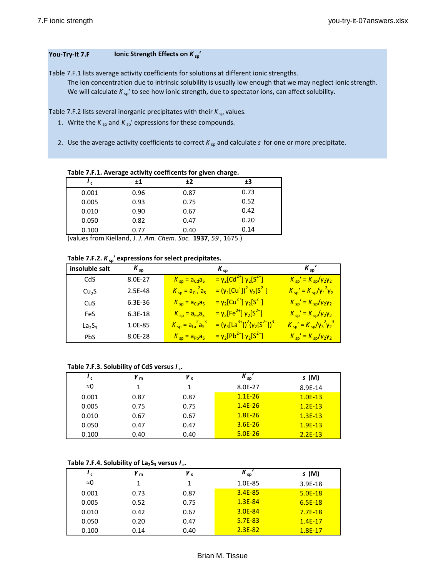### **You-Try-It 7.F Ionic Strength Effects on**  $K_{sp}$ **<sup>***'***</sup>**

Table 7.F.1 lists average activity coefficients for solutions at different ionic strengths. The ion concentration due to intrinsic solubility is usually low enough that we may neglect ionic strength. We will calculate  $K_{sp}$ ' to see how ionic strength, due to spectator ions, can affect solubility.

Table 7.F.2 lists several inorganic precipitates with their  $K_{sp}$  values.

- 1. Write the  $K_{sp}$  and  $K_{sp}'$  expressions for these compounds.
- 2. Use the average activity coefficients to correct  $K_{sp}$  and calculate  $s$  for one or more precipitate.

**Table 7.F.1. Average activity coefficents for given charge.**

| , I   | ±1   | ±2   | ±3   |
|-------|------|------|------|
| 0.001 | 0.96 | 0.87 | 0.73 |
| 0.005 | 0.93 | 0.75 | 0.52 |
| 0.010 | 0.90 | 0.67 | 0.42 |
| 0.050 | 0.82 | 0.47 | 0.20 |
| 0.100 | 0.77 | 0.40 | 0.14 |

(values from Kielland, J. *J. Am. Chem. Soc.* **1937**, *59* , 1675.)

| insoluble salt                 | $K_{\rm SD}$ |                           | $K_{sn}$                                                                                             | $K_{sn}$                                       |
|--------------------------------|--------------|---------------------------|------------------------------------------------------------------------------------------------------|------------------------------------------------|
| CdS                            | 8.0E-27      | $K_{sp}$ = $a_{Cd}a_s$    | $=$ γ <sub>2</sub> [Cd <sup>2+</sup> ] γ <sub>2</sub> [S <sup>2-</sup> ]                             | $K_{sp}^{\prime} = K_{sp}/\gamma_2\gamma_2$    |
| Cu <sub>2</sub> S              | 2.5E-48      | $K_{sp} = a_{Cu}^2 a_s$   | = (γ <sub>1</sub> [Cu <sup>+</sup> ]) <sup>2</sup> γ <sub>2</sub> [S <sup>2-</sup> ]                 | $K_{sp}^{\prime} = K_{sp}/\gamma_1^2 \gamma_2$ |
| CuS                            | 6.3E-36      | $K_{sp} = a_{Cu}a_{s}$    | $= \gamma_2$ [Cu <sup>2+</sup> ] γ <sub>2</sub> [S <sup>2-</sup> ]                                   | $K_{sp}^{\prime} = K_{sp}/\gamma_2 \gamma_2$   |
| FeS                            | $6.3E-18$    | $K_{sp} = a_{Fe}a_{S}$    | = $\gamma_2$ [Fe <sup>2+</sup> ] $\gamma_2$ [S <sup>2-</sup> ]                                       | $K_{sp}^{\prime} = K_{sp}/\gamma_2 \gamma_2$   |
| La <sub>2</sub> S <sub>3</sub> | 1.0E-85      | $K_{sp} = a_{La}^2 a_s^3$ | = (γ <sub>3</sub> [La <sup>3+</sup> ]) <sup>2</sup> (γ <sub>2</sub> [S <sup>2-</sup> ]) <sup>3</sup> | $K_{sp}' = K_{sp}/v_3^2v_2^3$                  |
| <b>PbS</b>                     | 8.0E-28      | $K_{sp} = a_{pb}a_s$      | $= \gamma_2[Pb^{2+}]$ γ <sub>2</sub> [S <sup>2-</sup> ]                                              | $K_{sp}^{\prime} = K_{sp}/\gamma_2\gamma_2$    |

## **Table 7.F.3. Solubility of CdS versus** *I* **c.**

| 'с    | $v_{m}$ | γx   | $K_{sp}$    | s (M)     |
|-------|---------|------|-------------|-----------|
| ≈0    |         |      | 8.0E-27     | 8.9E-14   |
| 0.001 | 0.87    | 0.87 | $1.1E-26$   | $1.0E-13$ |
| 0.005 | 0.75    | 0.75 | $1.4E - 26$ | $1.2E-13$ |
| 0.010 | 0.67    | 0.67 | $1.8E - 26$ | $1.3E-13$ |
| 0.050 | 0.47    | 0.47 | $3.6E - 26$ | $1.9E-13$ |
| 0.100 | 0.40    | 0.40 | $5.0E - 26$ | $2.2E-13$ |

#### Table 7.F.4. Solubility of  $La_2S_3$  versus  $I_c$ .

| ' c   | Иm   | γ,   | $K_{sp}$    | s (M)     |
|-------|------|------|-------------|-----------|
| ≈0    |      |      | 1.0E-85     | $3.9E-18$ |
| 0.001 | 0.73 | 0.87 | $3.4E-85$   | $5.0E-18$ |
| 0.005 | 0.52 | 0.75 | $1.3E - 84$ | $6.5E-18$ |
| 0.010 | 0.42 | 0.67 | 3.0E-84     | $7.7E-18$ |
| 0.050 | 0.20 | 0.47 | $5.7E-83$   | $1.4E-17$ |
| 0.100 | 0.14 | 0.40 | $2.3E-82$   | $1.8E-17$ |